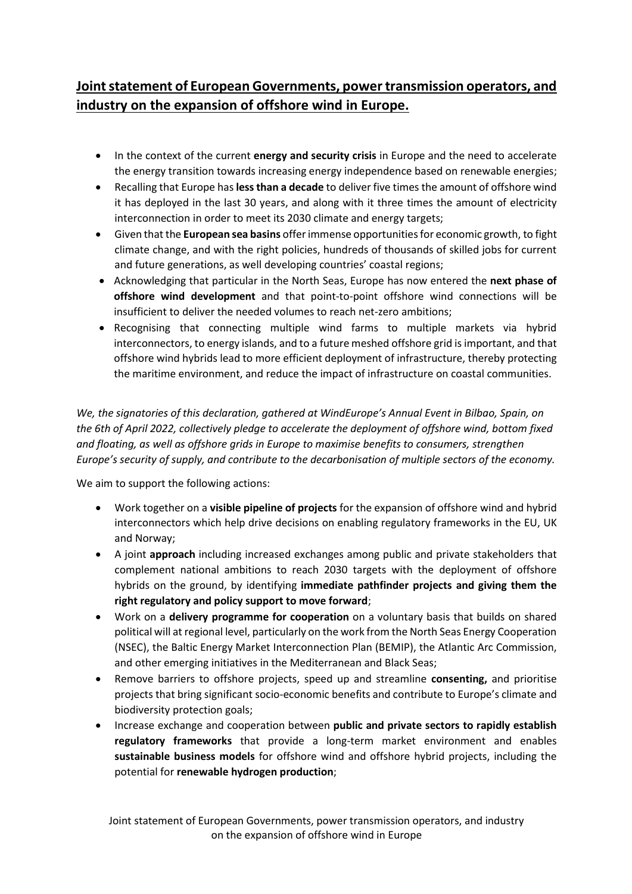## **Joint statement of European Governments, power transmission operators, and industry on the expansion of offshore wind in Europe.**

- In the context of the current **energy and security crisis** in Europe and the need to accelerate the energy transition towards increasing energy independence based on renewable energies;
- Recalling that Europe has **less than a decade** to deliver five times the amount of offshore wind it has deployed in the last 30 years, and along with it three times the amount of electricity interconnection in order to meet its 2030 climate and energy targets;
- Given that the **European sea basins** offer immense opportunities for economic growth, to fight climate change, and with the right policies, hundreds of thousands of skilled jobs for current and future generations, as well developing countries' coastal regions;
- Acknowledging that particular in the North Seas, Europe has now entered the **next phase of offshore wind development** and that point-to-point offshore wind connections will be insufficient to deliver the needed volumes to reach net-zero ambitions;
- Recognising that connecting multiple wind farms to multiple markets via hybrid interconnectors, to energy islands, and to a future meshed offshore grid is important, and that offshore wind hybrids lead to more efficient deployment of infrastructure, thereby protecting the maritime environment, and reduce the impact of infrastructure on coastal communities.

*We, the signatories of this declaration, gathered at WindEurope's Annual Event in Bilbao, Spain, on the 6th of April 2022, collectively pledge to accelerate the deployment of offshore wind, bottom fixed and floating, as well as offshore grids in Europe to maximise benefits to consumers, strengthen Europe's security of supply, and contribute to the decarbonisation of multiple sectors of the economy.*

We aim to support the following actions:

- Work together on a **visible pipeline of projects** for the expansion of offshore wind and hybrid interconnectors which help drive decisions on enabling regulatory frameworks in the EU, UK and Norway;
- A joint **approach** including increased exchanges among public and private stakeholders that complement national ambitions to reach 2030 targets with the deployment of offshore hybrids on the ground, by identifying **immediate pathfinder projects and giving them the right regulatory and policy support to move forward**;
- Work on a **delivery programme for cooperation** on a voluntary basis that builds on shared political will at regional level, particularly on the work from the North Seas Energy Cooperation (NSEC), the Baltic Energy Market Interconnection Plan (BEMIP), the Atlantic Arc Commission, and other emerging initiatives in the Mediterranean and Black Seas;
- Remove barriers to offshore projects, speed up and streamline **consenting,** and prioritise projects that bring significant socio-economic benefits and contribute to Europe's climate and biodiversity protection goals;
- Increase exchange and cooperation between **public and private sectors to rapidly establish regulatory frameworks** that provide a long-term market environment and enables **sustainable business models** for offshore wind and offshore hybrid projects, including the potential for **renewable hydrogen production**;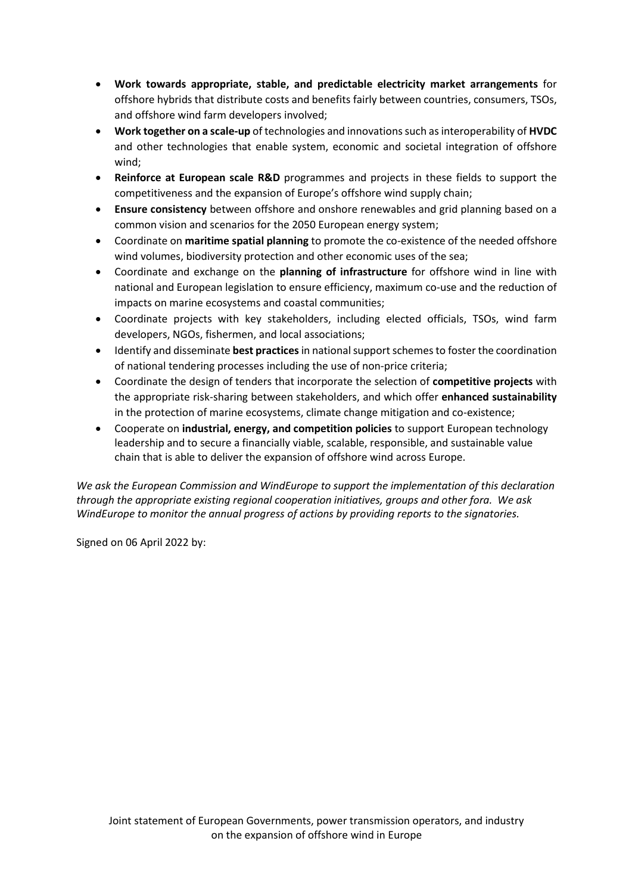- **Work towards appropriate, stable, and predictable electricity market arrangements** for offshore hybrids that distribute costs and benefits fairly between countries, consumers, TSOs, and offshore wind farm developers involved;
- **Work together on a scale-up** of technologies and innovations such as interoperability of **HVDC** and other technologies that enable system, economic and societal integration of offshore wind;
- **Reinforce at European scale R&D** programmes and projects in these fields to support the competitiveness and the expansion of Europe's offshore wind supply chain;
- **Ensure consistency** between offshore and onshore renewables and grid planning based on a common vision and scenarios for the 2050 European energy system;
- Coordinate on **maritime spatial planning** to promote the co-existence of the needed offshore wind volumes, biodiversity protection and other economic uses of the sea;
- Coordinate and exchange on the **planning of infrastructure** for offshore wind in line with national and European legislation to ensure efficiency, maximum co-use and the reduction of impacts on marine ecosystems and coastal communities;
- Coordinate projects with key stakeholders, including elected officials, TSOs, wind farm developers, NGOs, fishermen, and local associations;
- Identify and disseminate **best practices**in national support schemes to foster the coordination of national tendering processes including the use of non-price criteria;
- Coordinate the design of tenders that incorporate the selection of **competitive projects** with the appropriate risk-sharing between stakeholders, and which offer **enhanced sustainability** in the protection of marine ecosystems, climate change mitigation and co-existence;
- Cooperate on **industrial, energy, and competition policies** to support European technology leadership and to secure a financially viable, scalable, responsible, and sustainable value chain that is able to deliver the expansion of offshore wind across Europe.

*We ask the European Commission and WindEurope to support the implementation of this declaration through the appropriate existing regional cooperation initiatives, groups and other fora. We ask WindEurope to monitor the annual progress of actions by providing reports to the signatories.* 

Signed on 06 April 2022 by: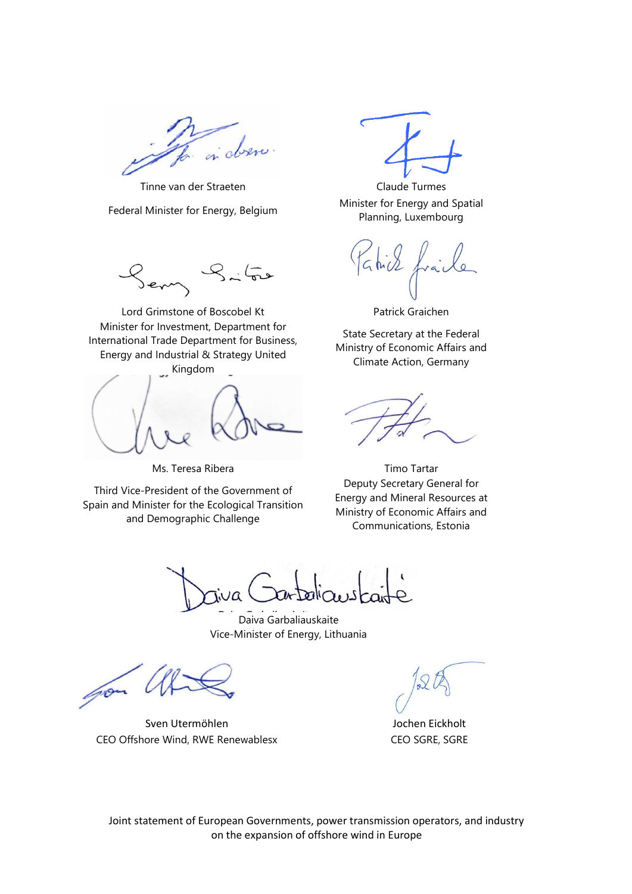in observ

Tinne van der Straeten Claude Turmes

Minister for Investment, Department for International Trade Department for Business, Energy and Industrial & Strategy United Kingdom

Third Vice-President of the Government of Spain and Minister for the Ecological Transition and Demographic Challenge

Federal Minister for Energy, Belgium Minister for Energy and Spatial Planning, Luxembourg

le  $GMD$ 

Lord Grimstone of Boscobel Kt Patrick Graichen

State Secretary at the Federal Ministry of Economic Affairs and Climate Action, Germany

Ms. Teresa Ribera National Communication of Timo Tartar Deputy Secretary General for Energy and Mineral Resources at Ministry of Economic Affairs and Communications, Estonia

JQ

Daiva Garbaliauskaite Vice-Minister of Energy, Lithuania

pon

Sven Utermöhlen aus der Anten aus der Abenden Eickholt CEO Offshore Wind, RWE Renewablesx CEO SGRE, SGRE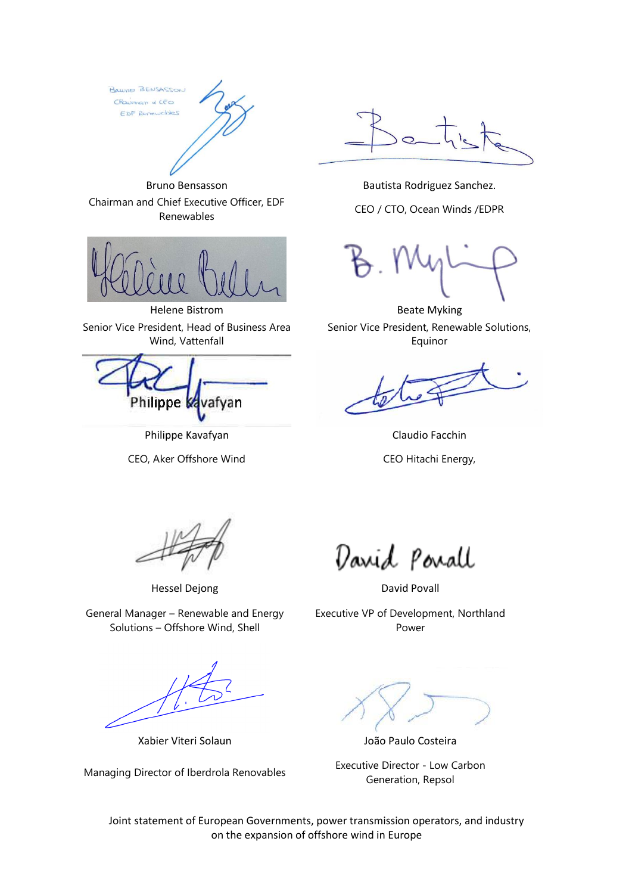BRILVING BENSASSON Chairman & CEO EDF Renewables





Helene Bistrom **Beate Myking** Senior Vice President, Head of Business Area Wind, Vattenfall

Philippe I vafyan

Philippe Kavafyan Claudio Facchin

CEO, Aker Offshore Wind CEO Hitachi Energy,

Senior Vice President, Renewable Solutions, Equinor

Hessel Dejong David Povall

General Manager – Renewable and Energy Solutions – Offshore Wind, Shell

Xabier Viteri Solaun João Paulo Costeira

David Povall

Executive VP of Development, Northland Power

Managing Director of Iberdrola Renovables Executive Director - Low Carbon Generation, Repsol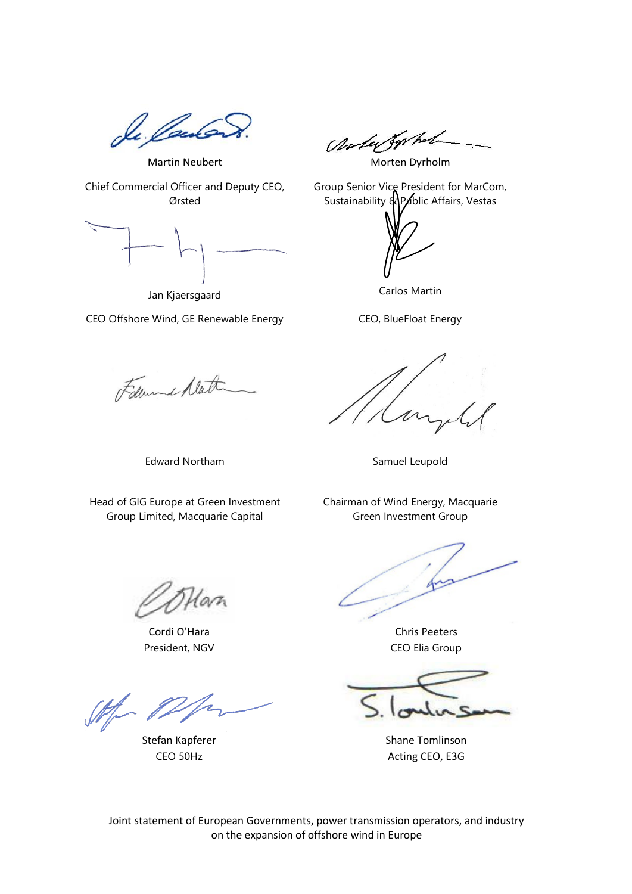Je *Vau*le

Ander for hot

Martin Neubert Morten Dyrholm

Chief Commercial Officer and Deputy CEO, Ørsted

Jan Kjaersgaard

CEO Offshore Wind, GE Renewable Energy

Followed Math

Edward Northam Samuel Leupold

Head of GIG Europe at Green Investment Group Limited, Macquarie Capital

Group Senior Vice President for MarCom, Sustainability & Public Affairs, Vestas

Carlos Martin

CEO, BlueFloat Energy

Chairman of Wind Energy, Macquarie Green Investment Group

Cordi O'Hara Chris Peeters President, NGV CEO Elia Group

Stefan Kapferer Shane Tomlinson CEO 50Hz <br>
Acting CEO, E3G